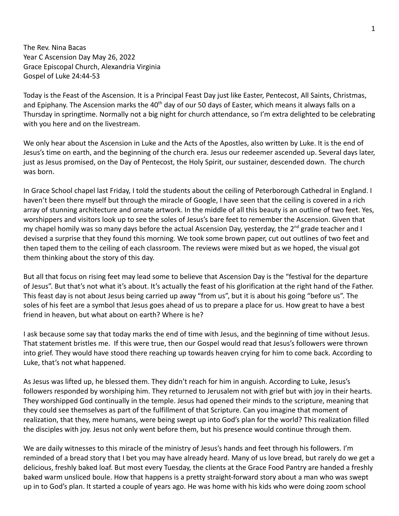The Rev. Nina Bacas Year C Ascension Day May 26, 2022 Grace Episcopal Church, Alexandria Virginia Gospel of Luke 24:44-53

Today is the Feast of the Ascension. It is a Principal Feast Day just like Easter, Pentecost, All Saints, Christmas, and Epiphany. The Ascension marks the 40<sup>th</sup> day of our 50 days of Easter, which means it always falls on a Thursday in springtime. Normally not a big night for church attendance, so I'm extra delighted to be celebrating with you here and on the livestream.

We only hear about the Ascension in Luke and the Acts of the Apostles, also written by Luke. It is the end of Jesus's time on earth, and the beginning of the church era. Jesus our redeemer ascended up. Several days later, just as Jesus promised, on the Day of Pentecost, the Holy Spirit, our sustainer, descended down. The church was born.

In Grace School chapel last Friday, I told the students about the ceiling of Peterborough Cathedral in England. I haven't been there myself but through the miracle of Google, I have seen that the ceiling is covered in a rich array of stunning architecture and ornate artwork. In the middle of all this beauty is an outline of two feet. Yes, worshippers and visitors look up to see the soles of Jesus's bare feet to remember the Ascension. Given that my chapel homily was so many days before the actual Ascension Day, yesterday, the 2<sup>nd</sup> grade teacher and I devised a surprise that they found this morning. We took some brown paper, cut out outlines of two feet and then taped them to the ceiling of each classroom. The reviews were mixed but as we hoped, the visual got them thinking about the story of this day.

But all that focus on rising feet may lead some to believe that Ascension Day is the "festival for the departure of Jesus". But that's not what it's about. It's actually the feast of his glorification at the right hand of the Father. This feast day is not about Jesus being carried up away "from us", but it is about his going "before us". The soles of his feet are a symbol that Jesus goes ahead of us to prepare a place for us. How great to have a best friend in heaven, but what about on earth? Where is he?

I ask because some say that today marks the end of time with Jesus, and the beginning of time without Jesus. That statement bristles me. If this were true, then our Gospel would read that Jesus's followers were thrown into grief. They would have stood there reaching up towards heaven crying for him to come back. According to Luke, that's not what happened.

As Jesus was lifted up, he blessed them. They didn't reach for him in anguish. According to Luke, Jesus's followers responded by worshiping him. They returned to Jerusalem not with grief but with joy in their hearts. They worshipped God continually in the temple. Jesus had opened their minds to the scripture, meaning that they could see themselves as part of the fulfillment of that Scripture. Can you imagine that moment of realization, that they, mere humans, were being swept up into God's plan for the world? This realization filled the disciples with joy. Jesus not only went before them, but his presence would continue through them.

We are daily witnesses to this miracle of the ministry of Jesus's hands and feet through his followers. I'm reminded of a bread story that I bet you may have already heard. Many of us love bread, but rarely do we get a delicious, freshly baked loaf. But most every Tuesday, the clients at the Grace Food Pantry are handed a freshly baked warm unsliced boule. How that happens is a pretty straight-forward story about a man who was swept up in to God's plan. It started a couple of years ago. He was home with his kids who were doing zoom school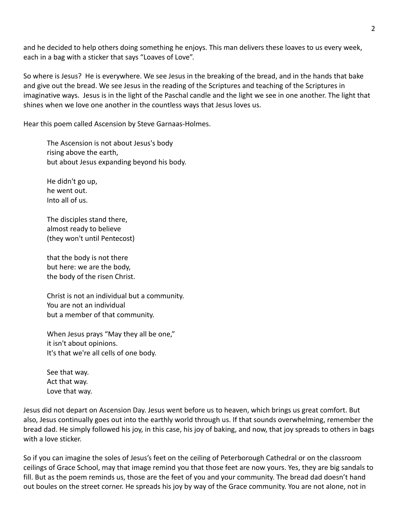and he decided to help others doing something he enjoys. This man delivers these loaves to us every week, each in a bag with a sticker that says "Loaves of Love".

So where is Jesus? He is everywhere. We see Jesus in the breaking of the bread, and in the hands that bake and give out the bread. We see Jesus in the reading of the Scriptures and teaching of the Scriptures in imaginative ways. Jesus is in the light of the Paschal candle and the light we see in one another. The light that shines when we love one another in the countless ways that Jesus loves us.

Hear this poem called Ascension by Steve Garnaas-Holmes.

The Ascension is not about Jesus's body rising above the earth, but about Jesus expanding beyond his body.

He didn't go up, he went out. Into all of us.

The disciples stand there, almost ready to believe (they won't until Pentecost)

that the body is not there but here: we are the body, the body of the risen Christ.

Christ is not an individual but a community. You are not an individual but a member of that community.

When Jesus prays "May they all be one," it isn't about opinions. It's that we're all cells of one body.

See that way. Act that way. Love that way.

Jesus did not depart on Ascension Day. Jesus went before us to heaven, which brings us great comfort. But also, Jesus continually goes out into the earthly world through us. If that sounds overwhelming, remember the bread dad. He simply followed his joy, in this case, his joy of baking, and now, that joy spreads to others in bags with a love sticker.

So if you can imagine the soles of Jesus's feet on the ceiling of Peterborough Cathedral or on the classroom ceilings of Grace School, may that image remind you that those feet are now yours. Yes, they are big sandals to fill. But as the poem reminds us, those are the feet of you and your community. The bread dad doesn't hand out boules on the street corner. He spreads his joy by way of the Grace community. You are not alone, not in